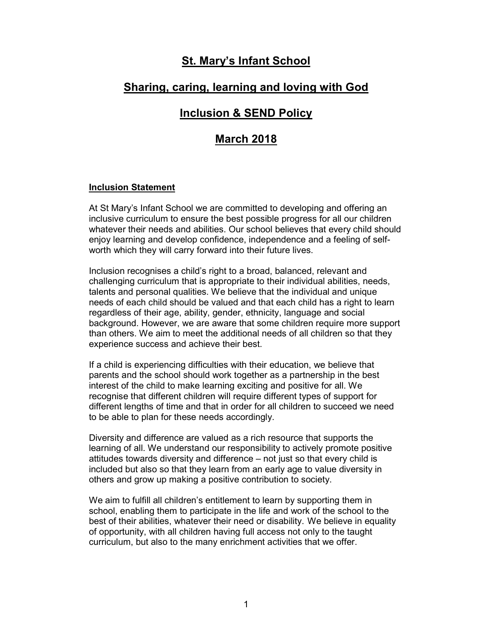# <u>St. Mary's Infant School</u>

# Sharing, caring, learning and loving with God

# Inclusion & SEND Policy

# March 2018

#### Inclusion Statement

At St Mary's Infant School we are committed to developing and offering an inclusive curriculum to ensure the best possible progress for all our children whatever their needs and abilities. Our school believes that every child should enjoy learning and develop confidence, independence and a feeling of selfworth which they will carry forward into their future lives.

Inclusion recognises a child's right to a broad, balanced, relevant and challenging curriculum that is appropriate to their individual abilities, needs, talents and personal qualities. We believe that the individual and unique needs of each child should be valued and that each child has a right to learn regardless of their age, ability, gender, ethnicity, language and social background. However, we are aware that some children require more support than others. We aim to meet the additional needs of all children so that they experience success and achieve their best.

If a child is experiencing difficulties with their education, we believe that parents and the school should work together as a partnership in the best interest of the child to make learning exciting and positive for all. We recognise that different children will require different types of support for different lengths of time and that in order for all children to succeed we need to be able to plan for these needs accordingly.

Diversity and difference are valued as a rich resource that supports the learning of all. We understand our responsibility to actively promote positive attitudes towards diversity and difference – not just so that every child is included but also so that they learn from an early age to value diversity in others and grow up making a positive contribution to society.

We aim to fulfill all children's entitlement to learn by supporting them in school, enabling them to participate in the life and work of the school to the best of their abilities, whatever their need or disability. We believe in equality of opportunity, with all children having full access not only to the taught curriculum, but also to the many enrichment activities that we offer.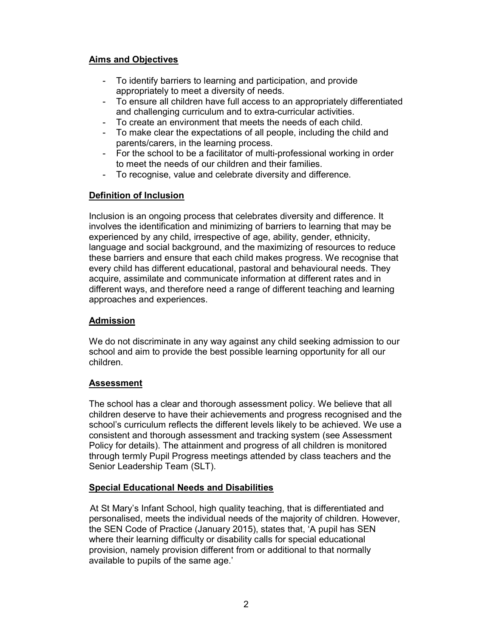## Aims and Objectives

- To identify barriers to learning and participation, and provide appropriately to meet a diversity of needs.
- To ensure all children have full access to an appropriately differentiated and challenging curriculum and to extra-curricular activities.
- To create an environment that meets the needs of each child.<br>- To make clear the expectations of all people, including the chi
- To make clear the expectations of all people, including the child and parents/carers, in the learning process.
- For the school to be a facilitator of multi-professional working in order to meet the needs of our children and their families.
- To recognise, value and celebrate diversity and difference.

## Definition of Inclusion

Inclusion is an ongoing process that celebrates diversity and difference. It involves the identification and minimizing of barriers to learning that may be experienced by any child, irrespective of age, ability, gender, ethnicity, language and social background, and the maximizing of resources to reduce these barriers and ensure that each child makes progress. We recognise that every child has different educational, pastoral and behavioural needs. They acquire, assimilate and communicate information at different rates and in different ways, and therefore need a range of different teaching and learning approaches and experiences.

## Admission

We do not discriminate in any way against any child seeking admission to our school and aim to provide the best possible learning opportunity for all our children.

### Assessment

The school has a clear and thorough assessment policy. We believe that all children deserve to have their achievements and progress recognised and the school's curriculum reflects the different levels likely to be achieved. We use a consistent and thorough assessment and tracking system (see Assessment Policy for details). The attainment and progress of all children is monitored through termly Pupil Progress meetings attended by class teachers and the Senior Leadership Team (SLT).

## Special Educational Needs and Disabilities

 At St Mary's Infant School, high quality teaching, that is differentiated and personalised, meets the individual needs of the majority of children. However, the SEN Code of Practice (January 2015), states that, 'A pupil has SEN where their learning difficulty or disability calls for special educational provision, namely provision different from or additional to that normally available to pupils of the same age.'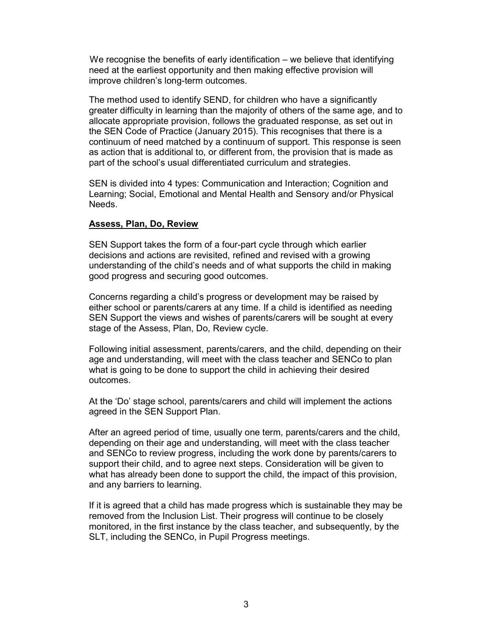We recognise the benefits of early identification – we believe that identifying need at the earliest opportunity and then making effective provision will improve children's long-term outcomes.

The method used to identify SEND, for children who have a significantly greater difficulty in learning than the majority of others of the same age, and to allocate appropriate provision, follows the graduated response, as set out in the SEN Code of Practice (January 2015). This recognises that there is a continuum of need matched by a continuum of support. This response is seen as action that is additional to, or different from, the provision that is made as part of the school's usual differentiated curriculum and strategies.

SEN is divided into 4 types: Communication and Interaction; Cognition and Learning; Social, Emotional and Mental Health and Sensory and/or Physical Needs.

#### Assess, Plan, Do, Review

SEN Support takes the form of a four-part cycle through which earlier decisions and actions are revisited, refined and revised with a growing understanding of the child's needs and of what supports the child in making good progress and securing good outcomes.

Concerns regarding a child's progress or development may be raised by either school or parents/carers at any time. If a child is identified as needing SEN Support the views and wishes of parents/carers will be sought at every stage of the Assess, Plan, Do, Review cycle.

Following initial assessment, parents/carers, and the child, depending on their age and understanding, will meet with the class teacher and SENCo to plan what is going to be done to support the child in achieving their desired outcomes.

At the 'Do' stage school, parents/carers and child will implement the actions agreed in the SEN Support Plan.

After an agreed period of time, usually one term, parents/carers and the child, depending on their age and understanding, will meet with the class teacher and SENCo to review progress, including the work done by parents/carers to support their child, and to agree next steps. Consideration will be given to what has already been done to support the child, the impact of this provision, and any barriers to learning.

If it is agreed that a child has made progress which is sustainable they may be removed from the Inclusion List. Their progress will continue to be closely monitored, in the first instance by the class teacher, and subsequently, by the SLT, including the SENCo, in Pupil Progress meetings.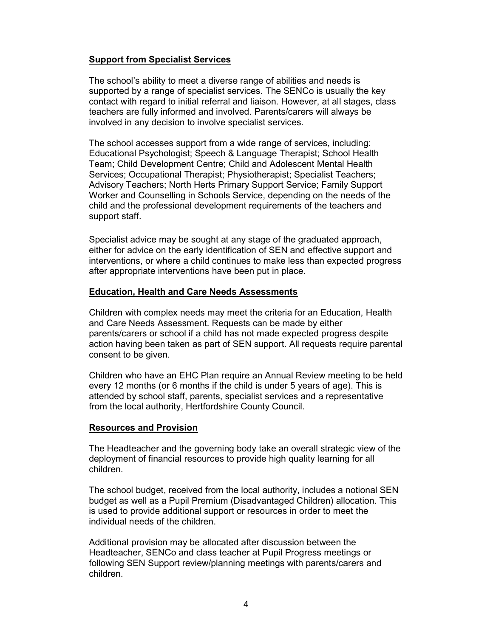### Support from Specialist Services

The school's ability to meet a diverse range of abilities and needs is supported by a range of specialist services. The SENCo is usually the key contact with regard to initial referral and liaison. However, at all stages, class teachers are fully informed and involved. Parents/carers will always be involved in any decision to involve specialist services.

The school accesses support from a wide range of services, including: Educational Psychologist; Speech & Language Therapist; School Health Team; Child Development Centre; Child and Adolescent Mental Health Services; Occupational Therapist; Physiotherapist; Specialist Teachers; Advisory Teachers; North Herts Primary Support Service; Family Support Worker and Counselling in Schools Service, depending on the needs of the child and the professional development requirements of the teachers and support staff.

Specialist advice may be sought at any stage of the graduated approach, either for advice on the early identification of SEN and effective support and interventions, or where a child continues to make less than expected progress after appropriate interventions have been put in place.

### Education, Health and Care Needs Assessments

Children with complex needs may meet the criteria for an Education, Health and Care Needs Assessment. Requests can be made by either parents/carers or school if a child has not made expected progress despite action having been taken as part of SEN support. All requests require parental consent to be given.

Children who have an EHC Plan require an Annual Review meeting to be held every 12 months (or 6 months if the child is under 5 years of age). This is attended by school staff, parents, specialist services and a representative from the local authority, Hertfordshire County Council.

#### Resources and Provision

The Headteacher and the governing body take an overall strategic view of the deployment of financial resources to provide high quality learning for all children.

The school budget, received from the local authority, includes a notional SEN budget as well as a Pupil Premium (Disadvantaged Children) allocation. This is used to provide additional support or resources in order to meet the individual needs of the children.

Additional provision may be allocated after discussion between the Headteacher, SENCo and class teacher at Pupil Progress meetings or following SEN Support review/planning meetings with parents/carers and children.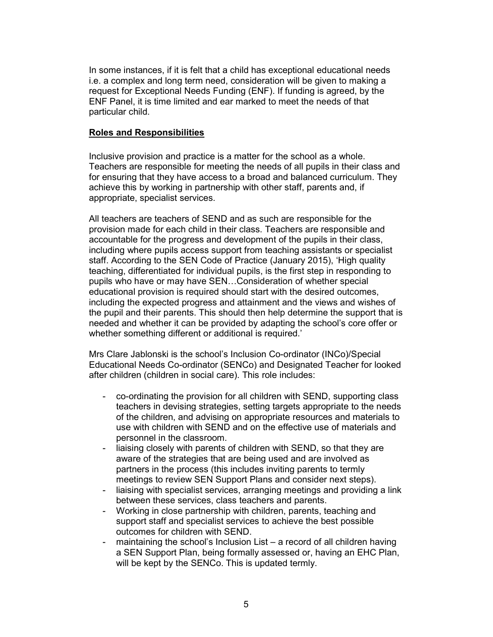In some instances, if it is felt that a child has exceptional educational needs i.e. a complex and long term need, consideration will be given to making a request for Exceptional Needs Funding (ENF). If funding is agreed, by the ENF Panel, it is time limited and ear marked to meet the needs of that particular child.

#### Roles and Responsibilities

Inclusive provision and practice is a matter for the school as a whole. Teachers are responsible for meeting the needs of all pupils in their class and for ensuring that they have access to a broad and balanced curriculum. They achieve this by working in partnership with other staff, parents and, if appropriate, specialist services.

All teachers are teachers of SEND and as such are responsible for the provision made for each child in their class. Teachers are responsible and accountable for the progress and development of the pupils in their class, including where pupils access support from teaching assistants or specialist staff. According to the SEN Code of Practice (January 2015), 'High quality teaching, differentiated for individual pupils, is the first step in responding to pupils who have or may have SEN…Consideration of whether special educational provision is required should start with the desired outcomes, including the expected progress and attainment and the views and wishes of the pupil and their parents. This should then help determine the support that is needed and whether it can be provided by adapting the school's core offer or whether something different or additional is required.'

Mrs Clare Jablonski is the school's Inclusion Co-ordinator (INCo)/Special Educational Needs Co-ordinator (SENCo) and Designated Teacher for looked after children (children in social care). This role includes:

- co-ordinating the provision for all children with SEND, supporting class teachers in devising strategies, setting targets appropriate to the needs of the children, and advising on appropriate resources and materials to use with children with SEND and on the effective use of materials and personnel in the classroom.
- liaising closely with parents of children with SEND, so that they are aware of the strategies that are being used and are involved as partners in the process (this includes inviting parents to termly meetings to review SEN Support Plans and consider next steps).
- liaising with specialist services, arranging meetings and providing a link between these services, class teachers and parents.
- Working in close partnership with children, parents, teaching and support staff and specialist services to achieve the best possible outcomes for children with SEND.
- maintaining the school's Inclusion List a record of all children having a SEN Support Plan, being formally assessed or, having an EHC Plan, will be kept by the SENCo. This is updated termly.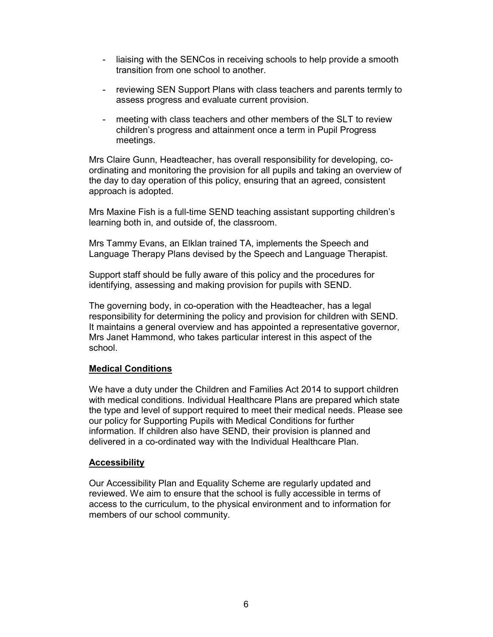- liaising with the SENCos in receiving schools to help provide a smooth transition from one school to another.
- reviewing SEN Support Plans with class teachers and parents termly to assess progress and evaluate current provision.
- meeting with class teachers and other members of the SLT to review children's progress and attainment once a term in Pupil Progress meetings.

Mrs Claire Gunn, Headteacher, has overall responsibility for developing, coordinating and monitoring the provision for all pupils and taking an overview of the day to day operation of this policy, ensuring that an agreed, consistent approach is adopted.

Mrs Maxine Fish is a full-time SEND teaching assistant supporting children's learning both in, and outside of, the classroom.

Mrs Tammy Evans, an Elklan trained TA, implements the Speech and Language Therapy Plans devised by the Speech and Language Therapist.

Support staff should be fully aware of this policy and the procedures for identifying, assessing and making provision for pupils with SEND.

The governing body, in co-operation with the Headteacher, has a legal responsibility for determining the policy and provision for children with SEND. It maintains a general overview and has appointed a representative governor, Mrs Janet Hammond, who takes particular interest in this aspect of the school.

### Medical Conditions

We have a duty under the Children and Families Act 2014 to support children with medical conditions. Individual Healthcare Plans are prepared which state the type and level of support required to meet their medical needs. Please see our policy for Supporting Pupils with Medical Conditions for further information. If children also have SEND, their provision is planned and delivered in a co-ordinated way with the Individual Healthcare Plan.

#### **Accessibility**

Our Accessibility Plan and Equality Scheme are regularly updated and reviewed. We aim to ensure that the school is fully accessible in terms of access to the curriculum, to the physical environment and to information for members of our school community.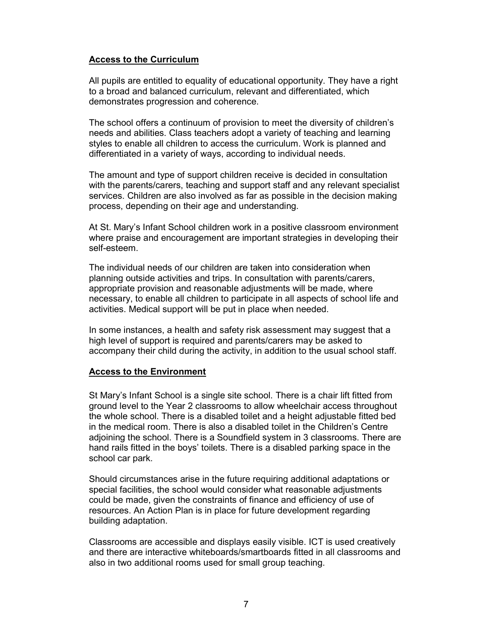## Access to the Curriculum

All pupils are entitled to equality of educational opportunity. They have a right to a broad and balanced curriculum, relevant and differentiated, which demonstrates progression and coherence.

The school offers a continuum of provision to meet the diversity of children's needs and abilities. Class teachers adopt a variety of teaching and learning styles to enable all children to access the curriculum. Work is planned and differentiated in a variety of ways, according to individual needs.

The amount and type of support children receive is decided in consultation with the parents/carers, teaching and support staff and any relevant specialist services. Children are also involved as far as possible in the decision making process, depending on their age and understanding.

At St. Mary's Infant School children work in a positive classroom environment where praise and encouragement are important strategies in developing their self-esteem.

The individual needs of our children are taken into consideration when planning outside activities and trips. In consultation with parents/carers, appropriate provision and reasonable adjustments will be made, where necessary, to enable all children to participate in all aspects of school life and activities. Medical support will be put in place when needed.

In some instances, a health and safety risk assessment may suggest that a high level of support is required and parents/carers may be asked to accompany their child during the activity, in addition to the usual school staff.

#### Access to the Environment

St Mary's Infant School is a single site school. There is a chair lift fitted from ground level to the Year 2 classrooms to allow wheelchair access throughout the whole school. There is a disabled toilet and a height adjustable fitted bed in the medical room. There is also a disabled toilet in the Children's Centre adjoining the school. There is a Soundfield system in 3 classrooms. There are hand rails fitted in the boys' toilets. There is a disabled parking space in the school car park.

Should circumstances arise in the future requiring additional adaptations or special facilities, the school would consider what reasonable adjustments could be made, given the constraints of finance and efficiency of use of resources. An Action Plan is in place for future development regarding building adaptation.

Classrooms are accessible and displays easily visible. ICT is used creatively and there are interactive whiteboards/smartboards fitted in all classrooms and also in two additional rooms used for small group teaching.